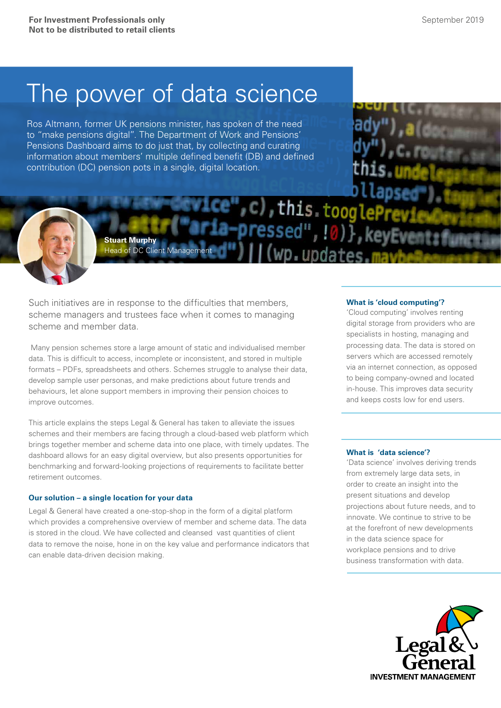# The power of data science

Ros Altmann, former UK pensions minister, has spoken of the need to "make pensions digital". The Department of Work and Pensions' Pensions Dashboard aims to do just that, by collecting and curating information about members' multiple defined benefit (DB) and defined contribution (DC) pension pots in a single, digital location.



Such initiatives are in response to the difficulties that members, scheme managers and trustees face when it comes to managing scheme and member data.

Head of DC Client Management

**Stuart Murphy** 

 Many pension schemes store a large amount of static and individualised member data. This is difficult to access, incomplete or inconsistent, and stored in multiple formats – PDFs, spreadsheets and others. Schemes struggle to analyse their data, develop sample user personas, and make predictions about future trends and behaviours, let alone support members in improving their pension choices to improve outcomes.

This article explains the steps Legal & General has taken to alleviate the issues schemes and their members are facing through a cloud-based web platform which brings together member and scheme data into one place, with timely updates. The dashboard allows for an easy digital overview, but also presents opportunities for benchmarking and forward-looking projections of requirements to facilitate better retirement outcomes.

## **Our solution – a single location for your data**

Legal & General have created a one-stop-shop in the form of a digital platform which provides a comprehensive overview of member and scheme data. The data is stored in the cloud. We have collected and cleansed vast quantities of client data to remove the noise, hone in on the key value and performance indicators that can enable data-driven decision making.

# **What is 'cloud computing'?**

e", c), this tooglePreviewer<br>a-pressed", !0) , keyEventrf

n. undate

'Cloud computing' involves renting digital storage from providers who are specialists in hosting, managing and processing data. The data is stored on servers which are accessed remotely via an internet connection, as opposed to being company-owned and located in-house. This improves data security and keeps costs low for end users.

# **What is 'data science'?**

'Data science' involves deriving trends from extremely large data sets, in order to create an insight into the present situations and develop projections about future needs, and to innovate. We continue to strive to be at the forefront of new developments in the data science space for workplace pensions and to drive business transformation with data.

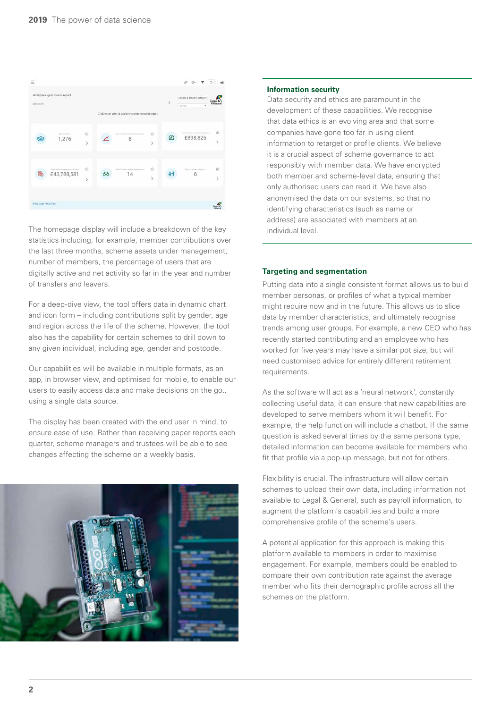

The homepage display will include a breakdown of the key statistics including, for example, member contributions over the last three months, scheme assets under management, number of members, the percentage of users that are digitally active and net activity so far in the year and number of transfers and leavers.

For a deep-dive view, the tool offers data in dynamic chart and icon form – including contributions split by gender, age and region across the life of the scheme. However, the tool also has the capability for certain schemes to drill down to any given individual, including age, gender and postcode.

Our capabilities will be available in multiple formats, as an app, in browser view, and optimised for mobile, to enable our users to easily access data and make decisions on the go., using a single data source.

The display has been created with the end user in mind, to ensure ease of use. Rather than receiving paper reports each quarter, scheme managers and trustees will be able to see changes affecting the scheme on a weekly basis.



#### **Information security**

Data security and ethics are paramount in the development of these capabilities. We recognise that data ethics is an evolving area and that some companies have gone too far in using client information to retarget or profile clients. We believe it is a crucial aspect of scheme governance to act responsibly with member data. We have encrypted both member and scheme-level data, ensuring that only authorised users can read it. We have also anonymised the data on our systems, so that no identifying characteristics (such as name or address) are associated with members at an individual level.

#### **Targeting and segmentation**

Putting data into a single consistent format allows us to build member personas, or profiles of what a typical member might require now and in the future. This allows us to slice data by member characteristics, and ultimately recognise trends among user groups. For example, a new CEO who has recently started contributing and an employee who has worked for five years may have a similar pot size, but will need customised advice for entirely different retirement requirements.

As the software will act as a 'neural network', constantly collecting useful data, it can ensure that new capabilities are developed to serve members whom it will benefit. For example, the help function will include a chatbot. If the same question is asked several times by the same persona type, detailed information can become available for members who fit that profile via a pop-up message, but not for others.

Flexibility is crucial. The infrastructure will allow certain schemes to upload their own data, including information not available to Legal & General, such as payroll information, to augment the platform's capabilities and build a more comprehensive profile of the scheme's users.

A potential application for this approach is making this platform available to members in order to maximise engagement. For example, members could be enabled to compare their own contribution rate against the average member who fits their demographic profile across all the schemes on the platform.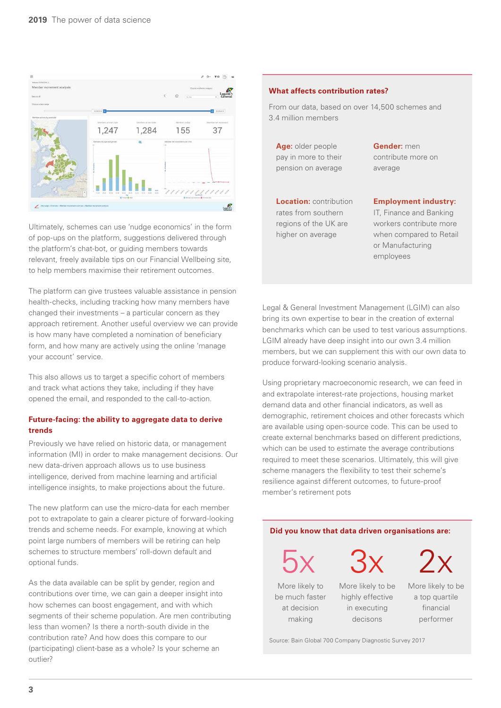

Ultimately, schemes can use 'nudge economics' in the form of pop-ups on the platform, suggestions delivered through the platform's chat-bot, or guiding members towards relevant, freely available tips on our Financial Wellbeing site, to help members maximise their retirement outcomes.

The platform can give trustees valuable assistance in pension health-checks, including tracking how many members have changed their investments – a particular concern as they approach retirement. Another useful overview we can provide is how many have completed a nomination of beneficiary form, and how many are actively using the online 'manage your account' service.

This also allows us to target a specific cohort of members and track what actions they take, including if they have opened the email, and responded to the call-to-action.

# **Future-facing: the ability to aggregate data to derive trends**

Previously we have relied on historic data, or management information (MI) in order to make management decisions. Our new data-driven approach allows us to use business intelligence, derived from machine learning and artificial intelligence insights, to make projections about the future.

The new platform can use the micro-data for each member pot to extrapolate to gain a clearer picture of forward-looking trends and scheme needs. For example, knowing at which point large numbers of members will be retiring can help schemes to structure members' roll-down default and optional funds.

As the data available can be split by gender, region and contributions over time, we can gain a deeper insight into how schemes can boost engagement, and with which segments of their scheme population. Are men contributing less than women? Is there a north-south divide in the contribution rate? And how does this compare to our (participating) client-base as a whole? Is your scheme an outlier?

## **What affects contribution rates?**

From our data, based on over 14,500 schemes and 3.4 million members

**Age:** older people **Gender:** men pay in more to their contribute more on pension on average average

**Location:** contribution **Employment industry:** 

rates from southern **IT**, Finance and Banking regions of the UK are workers contribute more higher on average when compared to Retail or Manufacturing employees

Legal & General Investment Management (LGIM) can also bring its own expertise to bear in the creation of external benchmarks which can be used to test various assumptions. LGIM already have deep insight into our own 3.4 million members, but we can supplement this with our own data to produce forward-looking scenario analysis.

Using proprietary macroeconomic research, we can feed in and extrapolate interest-rate projections, housing market demand data and other financial indicators, as well as demographic, retirement choices and other forecasts which are available using open-source code. This can be used to create external benchmarks based on different predictions, which can be used to estimate the average contributions required to meet these scenarios. Ultimately, this will give scheme managers the flexibility to test their scheme's resilience against different outcomes, to future-proof member's retirement pots

## **Did you know that data driven organisations are:**

5x 3x 2x

More likely to More likely to be More likely to be be much faster highly effective a top quartile at decision in executing financial making decisons performer

Source: Bain Global 700 Company Diagnostic Survey 2017